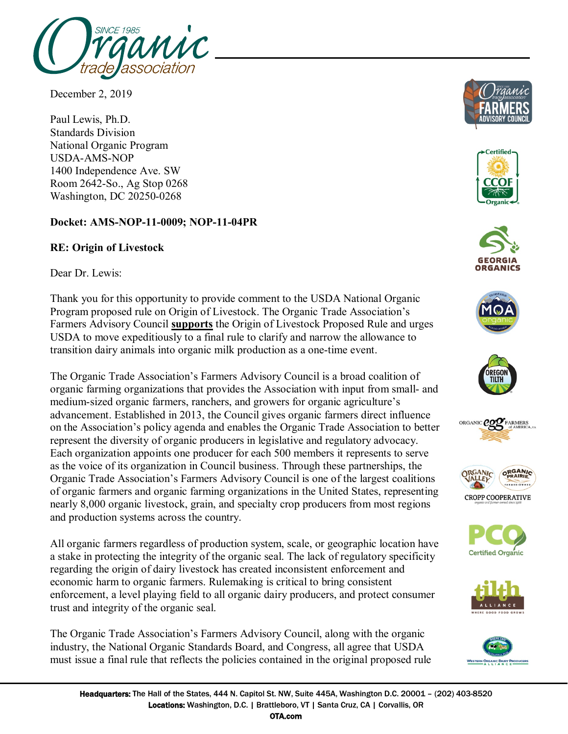

December 2, 2019

Paul Lewis, Ph.D. Standards Division National Organic Program USDA-AMS-NOP 1400 Independence Ave. SW Room 2642-So., Ag Stop 0268 Washington, DC 20250-0268

## **Docket: AMS-NOP-11-0009; NOP-11-04PR**

## **RE: Origin of Livestock**

Dear Dr. Lewis:

Thank you for this opportunity to provide comment to the USDA National Organic Program proposed rule on Origin of Livestock. The Organic Trade Association's Farmers Advisory Council **supports** the Origin of Livestock Proposed Rule and urges USDA to move expeditiously to a final rule to clarify and narrow the allowance to transition dairy animals into organic milk production as a one-time event.

The Organic Trade Association's Farmers Advisory Council is a broad coalition of organic farming organizations that provides the Association with input from small- and medium-sized organic farmers, ranchers, and growers for organic agriculture's advancement. Established in 2013, the Council gives organic farmers direct influence on the Association's policy agenda and enables the Organic Trade Association to better represent the diversity of organic producers in legislative and regulatory advocacy. Each organization appoints one producer for each 500 members it represents to serve as the voice of its organization in Council business. Through these partnerships, the Organic Trade Association's Farmers Advisory Council is one of the largest coalitions of organic farmers and organic farming organizations in the United States, representing nearly 8,000 organic livestock, grain, and specialty crop producers from most regions and production systems across the country.

All organic farmers regardless of production system, scale, or geographic location have a stake in protecting the integrity of the organic seal. The lack of regulatory specificity regarding the origin of dairy livestock has created inconsistent enforcement and economic harm to organic farmers. Rulemaking is critical to bring consistent enforcement, a level playing field to all organic dairy producers, and protect consumer trust and integrity of the organic seal.

The Organic Trade Association's Farmers Advisory Council, along with the organic industry, the National Organic Standards Board, and Congress, all agree that USDA must issue a final rule that reflects the policies contained in the original proposed rule





















OTA.com